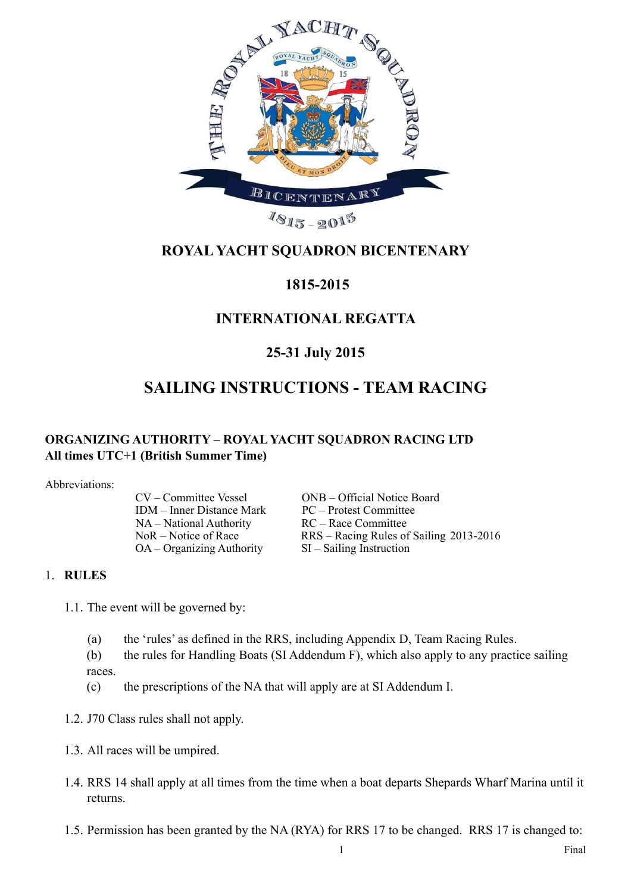

# **ROYAL YACHT SQUADRON BICENTENARY**

## **1815-2015**

## **INTERNATIONAL REGATTA**

## **25-31 July 2015**

# **SAILING INSTRUCTIONS - TEAM RACING**

## **ORGANIZING AUTHORITY – ROYAL YACHT SQUADRON RACING LTD All times UTC+1 (British Summer Time)**

Abbreviations:

IDM – Inner Distance Mark PC – Protest Committee NA – National Authority RC – Race Committee OA – Organizing Authority SI – Sailing Instruction

CV – Committee Vessel ONB – Official Notice Board NoR – Notice of Race RRS – Racing Rules of Sailing 2013-2016

## 1. **RULES**

- 1.1. The event will be governed by:
	- (a) the 'rules' as defined in the RRS, including Appendix D, Team Racing Rules.
	- (b) the rules for Handling Boats (SI Addendum F), which also apply to any practice sailing races.
	- (c) the prescriptions of the NA that will apply are at SI Addendum I.
- 1.2. J70 Class rules shall not apply.
- 1.3. All races will be umpired.
- 1.4. RRS 14 shall apply at all times from the time when a boat departs Shepards Wharf Marina until it returns.
- 1.5. Permission has been granted by the NA (RYA) for RRS 17 to be changed. RRS 17 is changed to: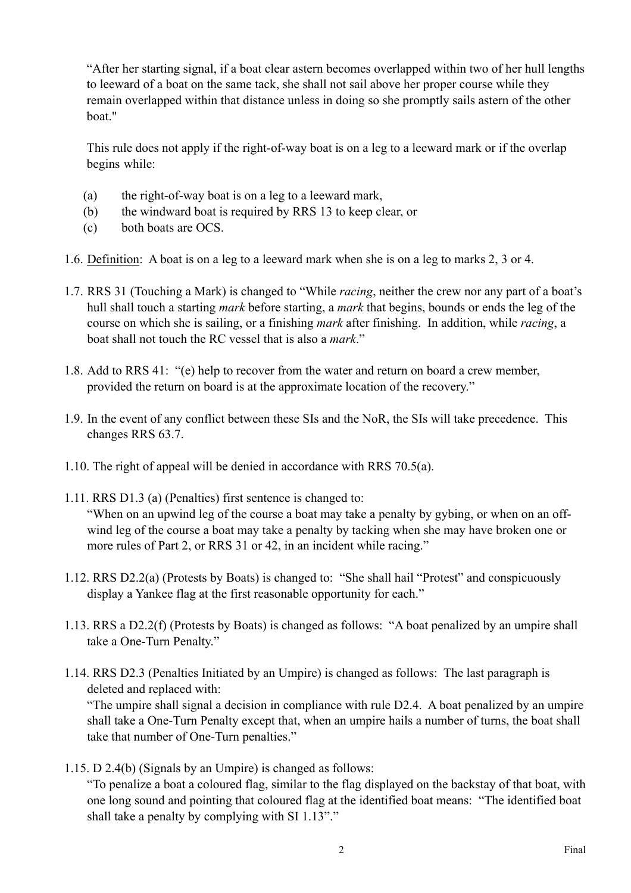"After her starting signal, if a boat clear astern becomes overlapped within two of her hull lengths to leeward of a boat on the same tack, she shall not sail above her proper course while they remain overlapped within that distance unless in doing so she promptly sails astern of the other boat."

This rule does not apply if the right-of-way boat is on a leg to a leeward mark or if the overlap begins while:

- (a) the right-of-way boat is on a leg to a leeward mark,
- (b) the windward boat is required by RRS 13 to keep clear, or
- (c) both boats are OCS.
- 1.6. Definition: A boat is on a leg to a leeward mark when she is on a leg to marks 2, 3 or 4.
- 1.7. RRS 31 (Touching a Mark) is changed to "While *racing*, neither the crew nor any part of a boat's hull shall touch a starting *mark* before starting, a *mark* that begins, bounds or ends the leg of the course on which she is sailing, or a finishing *mark* after finishing. In addition, while *racing*, a boat shall not touch the RC vessel that is also a *mark*."
- 1.8. Add to RRS 41: "(e) help to recover from the water and return on board a crew member, provided the return on board is at the approximate location of the recovery."
- 1.9. In the event of any conflict between these SIs and the NoR, the SIs will take precedence. This changes RRS 63.7.
- 1.10. The right of appeal will be denied in accordance with RRS 70.5(a).
- 1.11. RRS D1.3 (a) (Penalties) first sentence is changed to: "When on an upwind leg of the course a boat may take a penalty by gybing, or when on an offwind leg of the course a boat may take a penalty by tacking when she may have broken one or more rules of Part 2, or RRS 31 or 42, in an incident while racing."
- 1.12. RRS D2.2(a) (Protests by Boats) is changed to: "She shall hail "Protest" and conspicuously display a Yankee flag at the first reasonable opportunity for each."
- 1.13. RRS a D2.2(f) (Protests by Boats) is changed as follows: "A boat penalized by an umpire shall take a One-Turn Penalty."
- 1.14. RRS D2.3 (Penalties Initiated by an Umpire) is changed as follows: The last paragraph is deleted and replaced with:

"The umpire shall signal a decision in compliance with rule D2.4. A boat penalized by an umpire shall take a One-Turn Penalty except that, when an umpire hails a number of turns, the boat shall take that number of One-Turn penalties."

1.15. D 2.4(b) (Signals by an Umpire) is changed as follows:

"To penalize a boat a coloured flag, similar to the flag displayed on the backstay of that boat, with one long sound and pointing that coloured flag at the identified boat means: "The identified boat shall take a penalty by complying with SI 1.13"."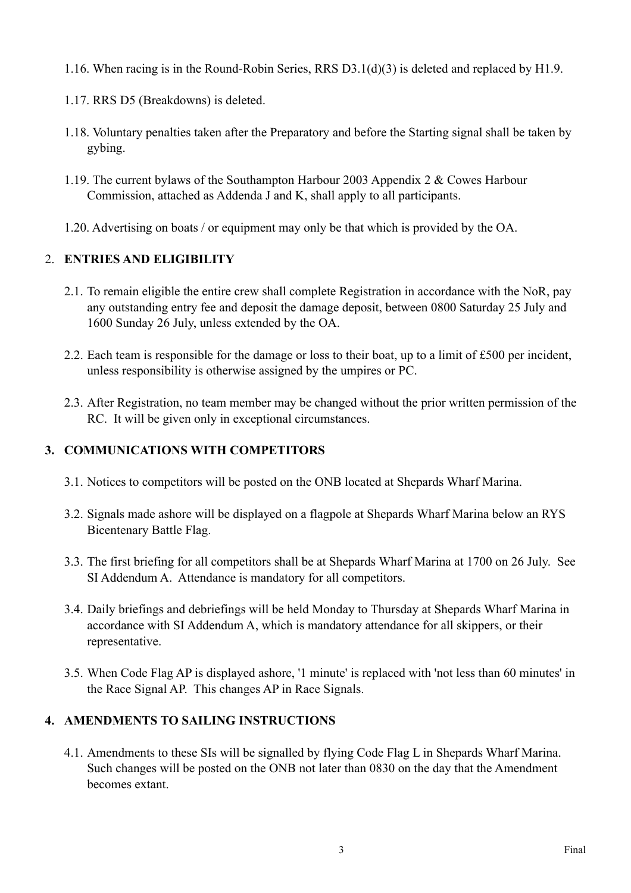- 1.16. When racing is in the Round-Robin Series, RRS D3.1(d)(3) is deleted and replaced by H1.9.
- 1.17. RRS D5 (Breakdowns) is deleted.
- 1.18. Voluntary penalties taken after the Preparatory and before the Starting signal shall be taken by gybing.
- 1.19. The current bylaws of the Southampton Harbour 2003 Appendix 2 & Cowes Harbour Commission, attached as Addenda J and K, shall apply to all participants.
- 1.20. Advertising on boats / or equipment may only be that which is provided by the OA.

## 2. **ENTRIES AND ELIGIBILITY**

- 2.1. To remain eligible the entire crew shall complete Registration in accordance with the NoR, pay any outstanding entry fee and deposit the damage deposit, between 0800 Saturday 25 July and 1600 Sunday 26 July, unless extended by the OA.
- 2.2. Each team is responsible for the damage or loss to their boat, up to a limit of £500 per incident, unless responsibility is otherwise assigned by the umpires or PC.
- 2.3. After Registration, no team member may be changed without the prior written permission of the RC. It will be given only in exceptional circumstances.

## **3. COMMUNICATIONS WITH COMPETITORS**

- 3.1. Notices to competitors will be posted on the ONB located at Shepards Wharf Marina.
- 3.2. Signals made ashore will be displayed on a flagpole at Shepards Wharf Marina below an RYS Bicentenary Battle Flag.
- 3.3. The first briefing for all competitors shall be at Shepards Wharf Marina at 1700 on 26 July. See SI Addendum A. Attendance is mandatory for all competitors.
- 3.4. Daily briefings and debriefings will be held Monday to Thursday at Shepards Wharf Marina in accordance with SI Addendum A, which is mandatory attendance for all skippers, or their representative.
- 3.5. When Code Flag AP is displayed ashore, '1 minute' is replaced with 'not less than 60 minutes' in the Race Signal AP. This changes AP in Race Signals.

## **4. AMENDMENTS TO SAILING INSTRUCTIONS**

4.1. Amendments to these SIs will be signalled by flying Code Flag L in Shepards Wharf Marina. Such changes will be posted on the ONB not later than 0830 on the day that the Amendment becomes extant.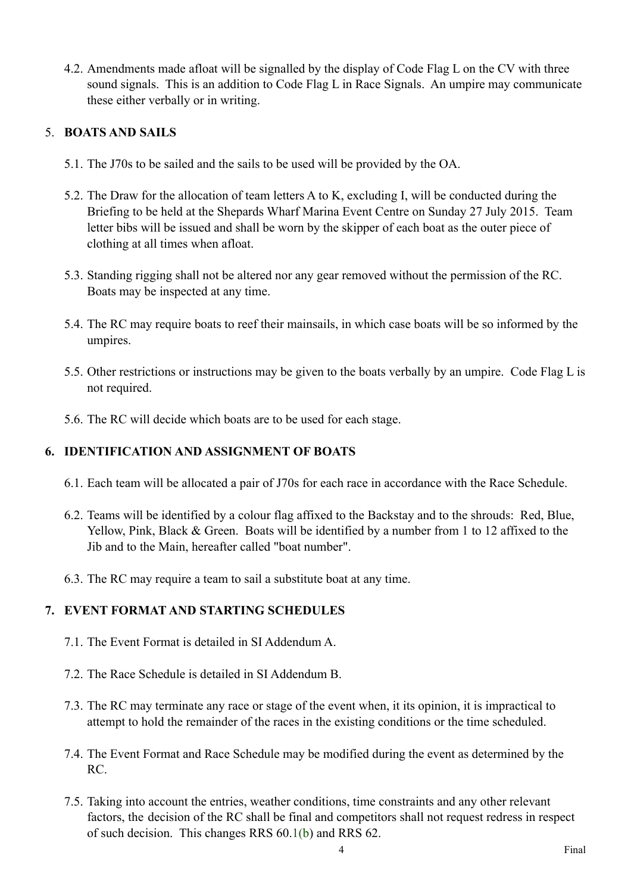4.2. Amendments made afloat will be signalled by the display of Code Flag L on the CV with three sound signals. This is an addition to Code Flag L in Race Signals. An umpire may communicate these either verbally or in writing.

## 5. **BOATS AND SAILS**

- 5.1. The J70s to be sailed and the sails to be used will be provided by the OA.
- 5.2. The Draw for the allocation of team letters A to K, excluding I, will be conducted during the Briefing to be held at the Shepards Wharf Marina Event Centre on Sunday 27 July 2015. Team letter bibs will be issued and shall be worn by the skipper of each boat as the outer piece of clothing at all times when afloat.
- 5.3. Standing rigging shall not be altered nor any gear removed without the permission of the RC. Boats may be inspected at any time.
- 5.4. The RC may require boats to reef their mainsails, in which case boats will be so informed by the umpires.
- 5.5. Other restrictions or instructions may be given to the boats verbally by an umpire. Code Flag L is not required.
- 5.6. The RC will decide which boats are to be used for each stage.

## **6. IDENTIFICATION AND ASSIGNMENT OF BOATS**

- 6.1. Each team will be allocated a pair of J70s for each race in accordance with the Race Schedule.
- 6.2. Teams will be identified by a colour flag affixed to the Backstay and to the shrouds: Red, Blue, Yellow, Pink, Black & Green. Boats will be identified by a number from 1 to 12 affixed to the Jib and to the Main, hereafter called "boat number".
- 6.3. The RC may require a team to sail a substitute boat at any time.

## **7. EVENT FORMAT AND STARTING SCHEDULES**

- 7.1. The Event Format is detailed in SI Addendum A.
- 7.2. The Race Schedule is detailed in SI Addendum B.
- 7.3. The RC may terminate any race or stage of the event when, it its opinion, it is impractical to attempt to hold the remainder of the races in the existing conditions or the time scheduled.
- 7.4. The Event Format and Race Schedule may be modified during the event as determined by the RC.
- 7.5. Taking into account the entries, weather conditions, time constraints and any other relevant factors, the decision of the RC shall be final and competitors shall not request redress in respect of such decision. This changes RRS 60.1(b) and RRS 62.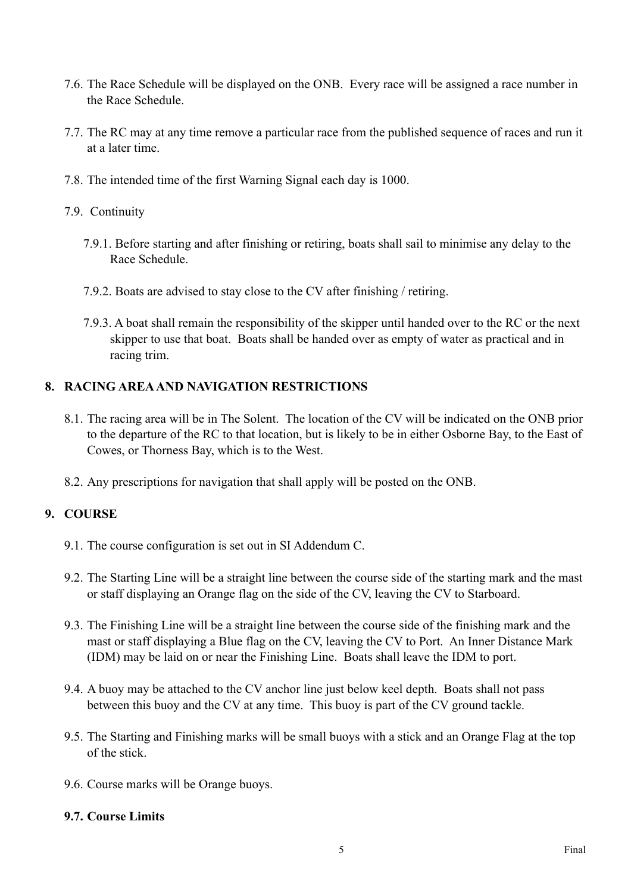- 7.6. The Race Schedule will be displayed on the ONB. Every race will be assigned a race number in the Race Schedule.
- 7.7. The RC may at any time remove a particular race from the published sequence of races and run it at a later time.
- 7.8. The intended time of the first Warning Signal each day is 1000.
- 7.9. Continuity
	- 7.9.1. Before starting and after finishing or retiring, boats shall sail to minimise any delay to the Race Schedule.
	- 7.9.2. Boats are advised to stay close to the CV after finishing / retiring.
	- 7.9.3. A boat shall remain the responsibility of the skipper until handed over to the RC or the next skipper to use that boat. Boats shall be handed over as empty of water as practical and in racing trim.

#### **8. RACING AREA AND NAVIGATION RESTRICTIONS**

- 8.1. The racing area will be in The Solent. The location of the CV will be indicated on the ONB prior to the departure of the RC to that location, but is likely to be in either Osborne Bay, to the East of Cowes, or Thorness Bay, which is to the West.
- 8.2. Any prescriptions for navigation that shall apply will be posted on the ONB.

#### **9. COURSE**

- 9.1. The course configuration is set out in SI Addendum C.
- 9.2. The Starting Line will be a straight line between the course side of the starting mark and the mast or staff displaying an Orange flag on the side of the CV, leaving the CV to Starboard.
- 9.3. The Finishing Line will be a straight line between the course side of the finishing mark and the mast or staff displaying a Blue flag on the CV, leaving the CV to Port. An Inner Distance Mark (IDM) may be laid on or near the Finishing Line. Boats shall leave the IDM to port.
- 9.4. A buoy may be attached to the CV anchor line just below keel depth. Boats shall not pass between this buoy and the CV at any time. This buoy is part of the CV ground tackle.
- 9.5. The Starting and Finishing marks will be small buoys with a stick and an Orange Flag at the top of the stick.
- 9.6. Course marks will be Orange buoys.

#### **9.7. Course Limits**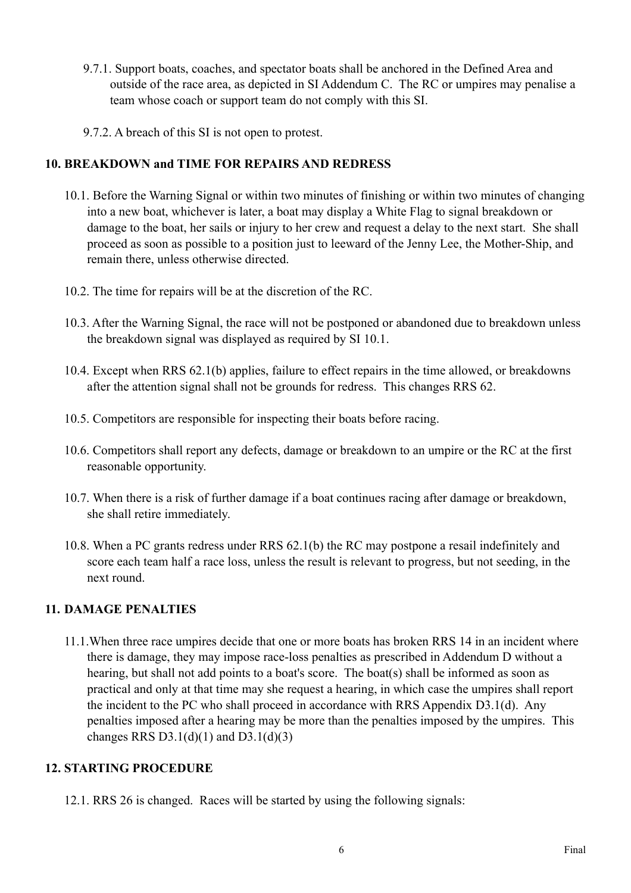- 9.7.1. Support boats, coaches, and spectator boats shall be anchored in the Defined Area and outside of the race area, as depicted in SI Addendum C. The RC or umpires may penalise a team whose coach or support team do not comply with this SI.
- 9.7.2. A breach of this SI is not open to protest.

## **10. BREAKDOWN and TIME FOR REPAIRS AND REDRESS**

- 10.1. Before the Warning Signal or within two minutes of finishing or within two minutes of changing into a new boat, whichever is later, a boat may display a White Flag to signal breakdown or damage to the boat, her sails or injury to her crew and request a delay to the next start. She shall proceed as soon as possible to a position just to leeward of the Jenny Lee, the Mother-Ship, and remain there, unless otherwise directed.
- 10.2. The time for repairs will be at the discretion of the RC.
- 10.3. After the Warning Signal, the race will not be postponed or abandoned due to breakdown unless the breakdown signal was displayed as required by SI 10.1.
- 10.4. Except when RRS 62.1(b) applies, failure to effect repairs in the time allowed, or breakdowns after the attention signal shall not be grounds for redress. This changes RRS 62.
- 10.5. Competitors are responsible for inspecting their boats before racing.
- 10.6. Competitors shall report any defects, damage or breakdown to an umpire or the RC at the first reasonable opportunity.
- 10.7. When there is a risk of further damage if a boat continues racing after damage or breakdown, she shall retire immediately.
- 10.8. When a PC grants redress under RRS 62.1(b) the RC may postpone a resail indefinitely and score each team half a race loss, unless the result is relevant to progress, but not seeding, in the next round.

## **11. DAMAGE PENALTIES**

11.1.When three race umpires decide that one or more boats has broken RRS 14 in an incident where there is damage, they may impose race-loss penalties as prescribed in Addendum D without a hearing, but shall not add points to a boat's score. The boat(s) shall be informed as soon as practical and only at that time may she request a hearing, in which case the umpires shall report the incident to the PC who shall proceed in accordance with RRS Appendix D3.1(d). Any penalties imposed after a hearing may be more than the penalties imposed by the umpires. This changes RRS D3.1(d)(1) and D3.1(d)(3)

## **12. STARTING PROCEDURE**

12.1. RRS 26 is changed. Races will be started by using the following signals: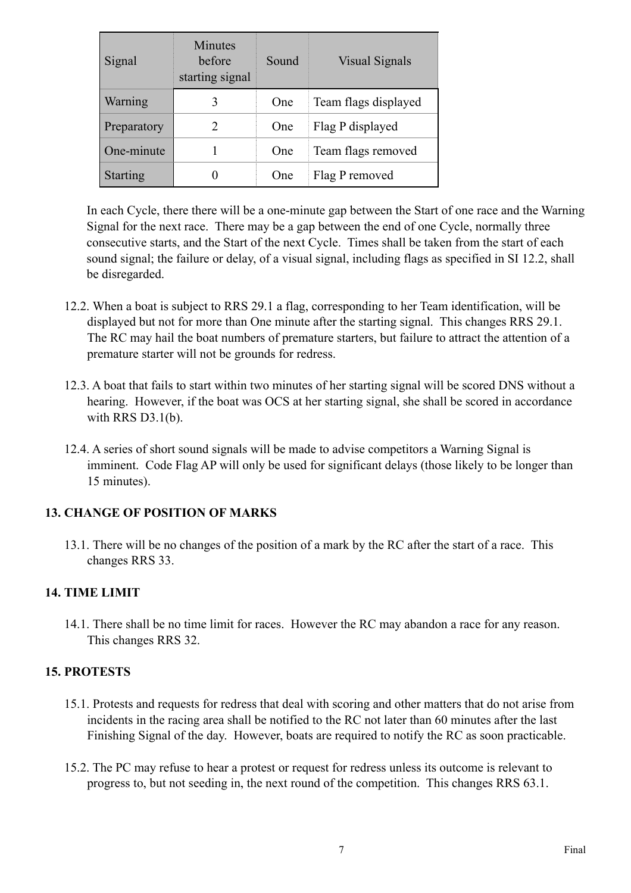| Signal          | <b>Minutes</b><br>before<br>starting signal | Sound      | <b>Visual Signals</b> |
|-----------------|---------------------------------------------|------------|-----------------------|
| Warning         | 3                                           | <b>One</b> | Team flags displayed  |
| Preparatory     | $\mathfrak{D}$                              | <b>One</b> | Flag P displayed      |
| One-minute      |                                             | One        | Team flags removed    |
| <b>Starting</b> |                                             | One        | Flag P removed        |

In each Cycle, there there will be a one-minute gap between the Start of one race and the Warning Signal for the next race. There may be a gap between the end of one Cycle, normally three consecutive starts, and the Start of the next Cycle. Times shall be taken from the start of each sound signal; the failure or delay, of a visual signal, including flags as specified in SI 12.2, shall be disregarded.

- 12.2. When a boat is subject to RRS 29.1 a flag, corresponding to her Team identification, will be displayed but not for more than One minute after the starting signal. This changes RRS 29.1. The RC may hail the boat numbers of premature starters, but failure to attract the attention of a premature starter will not be grounds for redress.
- 12.3. A boat that fails to start within two minutes of her starting signal will be scored DNS without a hearing. However, if the boat was OCS at her starting signal, she shall be scored in accordance with RRS D3.1(b).
- 12.4. A series of short sound signals will be made to advise competitors a Warning Signal is imminent. Code Flag AP will only be used for significant delays (those likely to be longer than 15 minutes).

## **13. CHANGE OF POSITION OF MARKS**

13.1. There will be no changes of the position of a mark by the RC after the start of a race. This changes RRS 33.

## **14. TIME LIMIT**

14.1. There shall be no time limit for races. However the RC may abandon a race for any reason. This changes RRS 32.

## **15. PROTESTS**

- 15.1. Protests and requests for redress that deal with scoring and other matters that do not arise from incidents in the racing area shall be notified to the RC not later than 60 minutes after the last Finishing Signal of the day. However, boats are required to notify the RC as soon practicable.
- 15.2. The PC may refuse to hear a protest or request for redress unless its outcome is relevant to progress to, but not seeding in, the next round of the competition. This changes RRS 63.1.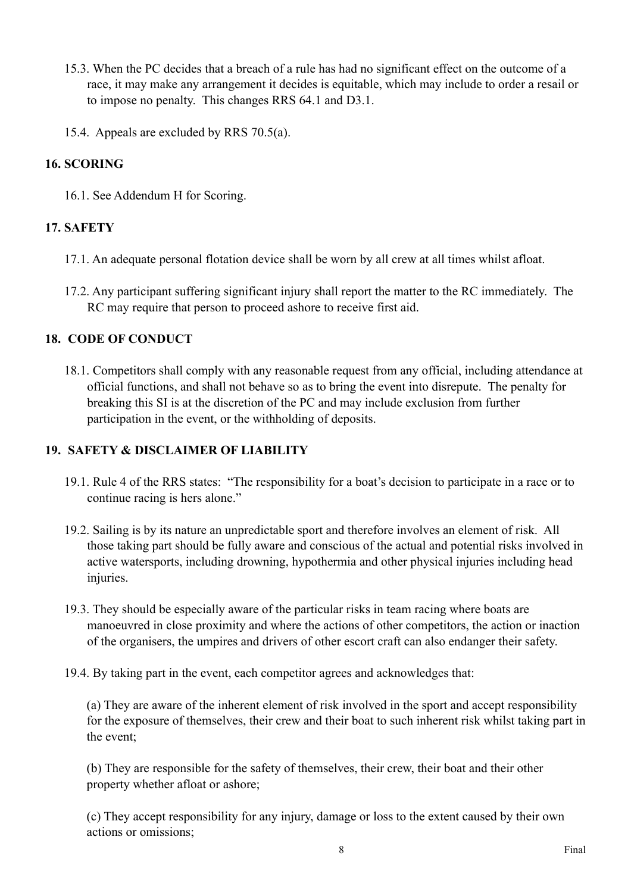- 15.3. When the PC decides that a breach of a rule has had no significant effect on the outcome of a race, it may make any arrangement it decides is equitable, which may include to order a resail or to impose no penalty. This changes RRS 64.1 and D3.1.
- 15.4. Appeals are excluded by RRS 70.5(a).

## **16. SCORING**

16.1. See Addendum H for Scoring.

## **17. SAFETY**

- 17.1. An adequate personal flotation device shall be worn by all crew at all times whilst afloat.
- 17.2. Any participant suffering significant injury shall report the matter to the RC immediately. The RC may require that person to proceed ashore to receive first aid.

### **18. CODE OF CONDUCT**

18.1. Competitors shall comply with any reasonable request from any official, including attendance at official functions, and shall not behave so as to bring the event into disrepute. The penalty for breaking this SI is at the discretion of the PC and may include exclusion from further participation in the event, or the withholding of deposits.

#### **19. SAFETY & DISCLAIMER OF LIABILITY**

- 19.1. Rule 4 of the RRS states: "The responsibility for a boat's decision to participate in a race or to continue racing is hers alone."
- 19.2. Sailing is by its nature an unpredictable sport and therefore involves an element of risk. All those taking part should be fully aware and conscious of the actual and potential risks involved in active watersports, including drowning, hypothermia and other physical injuries including head injuries.
- 19.3. They should be especially aware of the particular risks in team racing where boats are manoeuvred in close proximity and where the actions of other competitors, the action or inaction of the organisers, the umpires and drivers of other escort craft can also endanger their safety.
- 19.4. By taking part in the event, each competitor agrees and acknowledges that:

(a) They are aware of the inherent element of risk involved in the sport and accept responsibility for the exposure of themselves, their crew and their boat to such inherent risk whilst taking part in the event;

(b) They are responsible for the safety of themselves, their crew, their boat and their other property whether afloat or ashore;

(c) They accept responsibility for any injury, damage or loss to the extent caused by their own actions or omissions;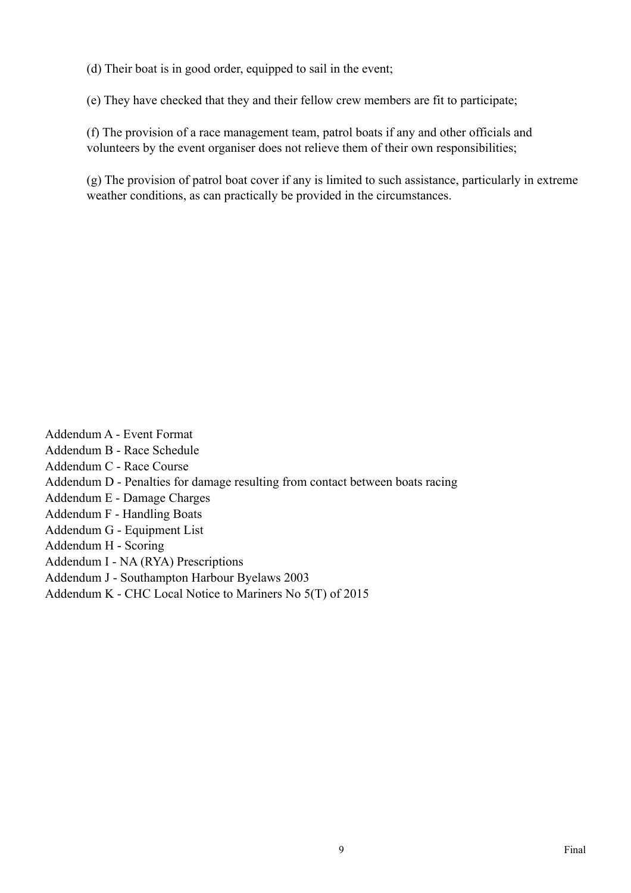(d) Their boat is in good order, equipped to sail in the event;

(e) They have checked that they and their fellow crew members are fit to participate;

(f) The provision of a race management team, patrol boats if any and other officials and volunteers by the event organiser does not relieve them of their own responsibilities;

(g) The provision of patrol boat cover if any is limited to such assistance, particularly in extreme weather conditions, as can practically be provided in the circumstances.

Addendum A - Event Format Addendum B - Race Schedule Addendum C - Race Course Addendum D - Penalties for damage resulting from contact between boats racing Addendum E - Damage Charges Addendum F - Handling Boats Addendum G - Equipment List Addendum H - Scoring Addendum I - NA (RYA) Prescriptions Addendum J - Southampton Harbour Byelaws 2003

Addendum K - CHC Local Notice to Mariners No 5(T) of 2015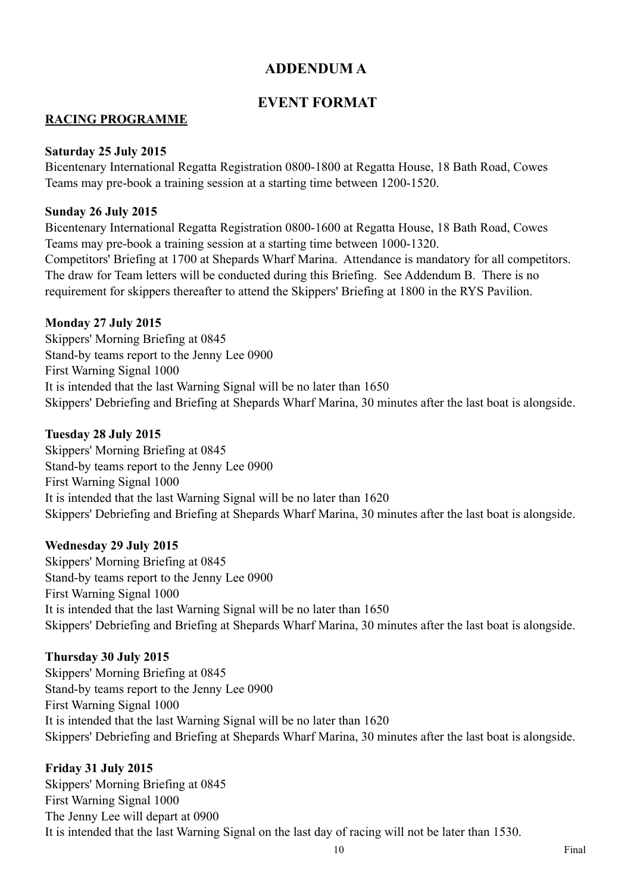## **ADDENDUM A**

## **EVENT FORMAT**

### **RACING PROGRAMME**

#### **Saturday 25 July 2015**

Bicentenary International Regatta Registration 0800-1800 at Regatta House, 18 Bath Road, Cowes Teams may pre-book a training session at a starting time between 1200-1520.

#### **Sunday 26 July 2015**

Bicentenary International Regatta Registration 0800-1600 at Regatta House, 18 Bath Road, Cowes Teams may pre-book a training session at a starting time between 1000-1320. Competitors' Briefing at 1700 at Shepards Wharf Marina. Attendance is mandatory for all competitors. The draw for Team letters will be conducted during this Briefing. See Addendum B. There is no

requirement for skippers thereafter to attend the Skippers' Briefing at 1800 in the RYS Pavilion.

#### **Monday 27 July 2015**

Skippers' Morning Briefing at 0845 Stand-by teams report to the Jenny Lee 0900 First Warning Signal 1000 It is intended that the last Warning Signal will be no later than 1650 Skippers' Debriefing and Briefing at Shepards Wharf Marina, 30 minutes after the last boat is alongside.

#### **Tuesday 28 July 2015**

Skippers' Morning Briefing at 0845 Stand-by teams report to the Jenny Lee 0900 First Warning Signal 1000 It is intended that the last Warning Signal will be no later than 1620 Skippers' Debriefing and Briefing at Shepards Wharf Marina, 30 minutes after the last boat is alongside.

#### **Wednesday 29 July 2015**

Skippers' Morning Briefing at 0845 Stand-by teams report to the Jenny Lee 0900 First Warning Signal 1000 It is intended that the last Warning Signal will be no later than 1650 Skippers' Debriefing and Briefing at Shepards Wharf Marina, 30 minutes after the last boat is alongside.

#### **Thursday 30 July 2015**

Skippers' Morning Briefing at 0845 Stand-by teams report to the Jenny Lee 0900 First Warning Signal 1000 It is intended that the last Warning Signal will be no later than 1620 Skippers' Debriefing and Briefing at Shepards Wharf Marina, 30 minutes after the last boat is alongside.

#### **Friday 31 July 2015**

Skippers' Morning Briefing at 0845 First Warning Signal 1000 The Jenny Lee will depart at 0900 It is intended that the last Warning Signal on the last day of racing will not be later than 1530.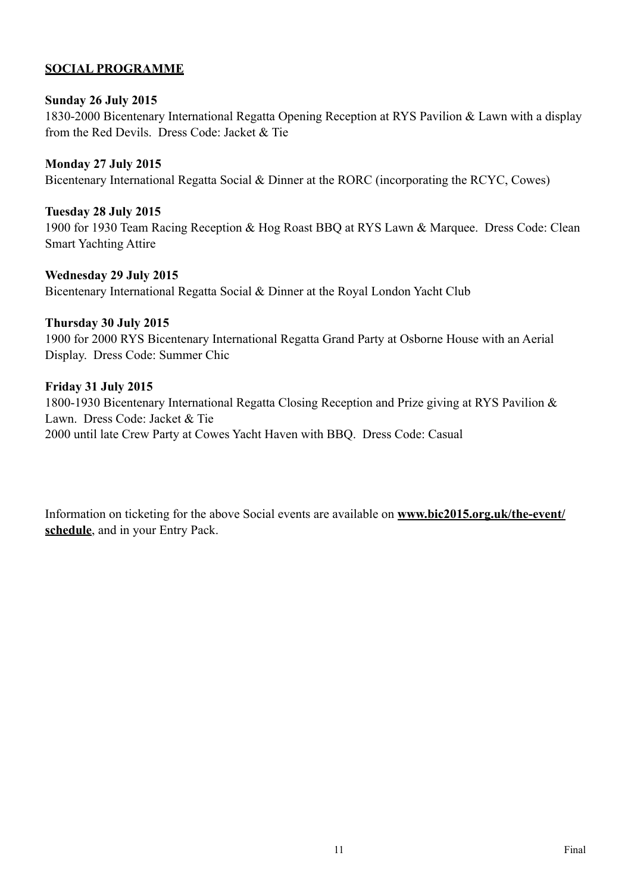### **SOCIAL PROGRAMME**

#### **Sunday 26 July 2015**

1830-2000 Bicentenary International Regatta Opening Reception at RYS Pavilion & Lawn with a display from the Red Devils. Dress Code: Jacket & Tie

#### **Monday 27 July 2015**

Bicentenary International Regatta Social & Dinner at the RORC (incorporating the RCYC, Cowes)

#### **Tuesday 28 July 2015**

1900 for 1930 Team Racing Reception & Hog Roast BBQ at RYS Lawn & Marquee. Dress Code: Clean Smart Yachting Attire

#### **Wednesday 29 July 2015**

Bicentenary International Regatta Social & Dinner at the Royal London Yacht Club

#### **Thursday 30 July 2015**

1900 for 2000 RYS Bicentenary International Regatta Grand Party at Osborne House with an Aerial Display. Dress Code: Summer Chic

#### **Friday 31 July 2015**

1800-1930 Bicentenary International Regatta Closing Reception and Prize giving at RYS Pavilion & Lawn. Dress Code: Jacket & Tie 2000 until late Crew Party at Cowes Yacht Haven with BBQ. Dress Code: Casual

[Information on ticketing for the above Social events are available on](http://www.bic2015.org.uk/the-event/schedule) **www.bic2015.org.uk/the-event/ schedule**, and in your Entry Pack.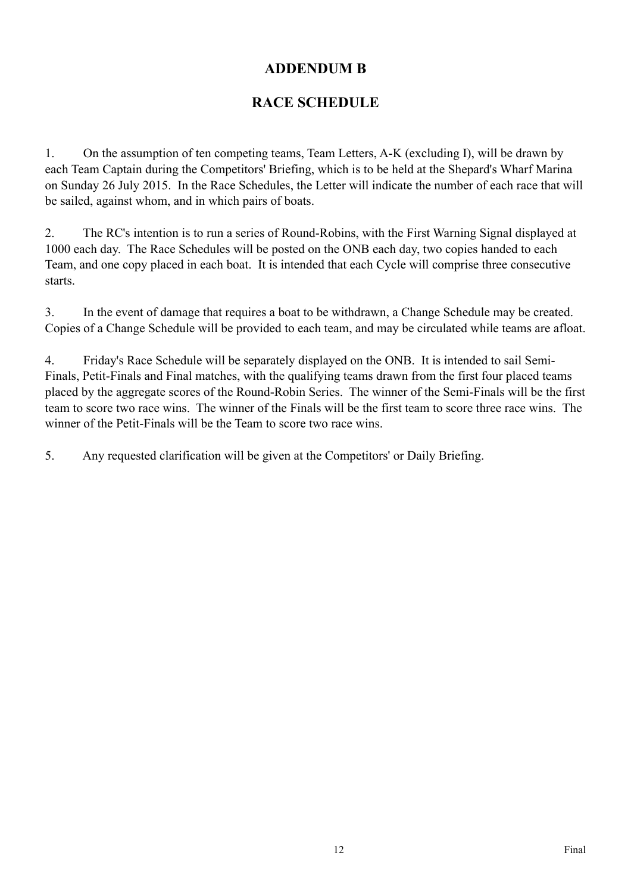## **ADDENDUM B**

## **RACE SCHEDULE**

1. On the assumption of ten competing teams, Team Letters, A-K (excluding I), will be drawn by each Team Captain during the Competitors' Briefing, which is to be held at the Shepard's Wharf Marina on Sunday 26 July 2015. In the Race Schedules, the Letter will indicate the number of each race that will be sailed, against whom, and in which pairs of boats.

2. The RC's intention is to run a series of Round-Robins, with the First Warning Signal displayed at 1000 each day. The Race Schedules will be posted on the ONB each day, two copies handed to each Team, and one copy placed in each boat. It is intended that each Cycle will comprise three consecutive starts.

3. In the event of damage that requires a boat to be withdrawn, a Change Schedule may be created. Copies of a Change Schedule will be provided to each team, and may be circulated while teams are afloat.

4. Friday's Race Schedule will be separately displayed on the ONB. It is intended to sail Semi-Finals, Petit-Finals and Final matches, with the qualifying teams drawn from the first four placed teams placed by the aggregate scores of the Round-Robin Series. The winner of the Semi-Finals will be the first team to score two race wins. The winner of the Finals will be the first team to score three race wins. The winner of the Petit-Finals will be the Team to score two race wins.

5. Any requested clarification will be given at the Competitors' or Daily Briefing.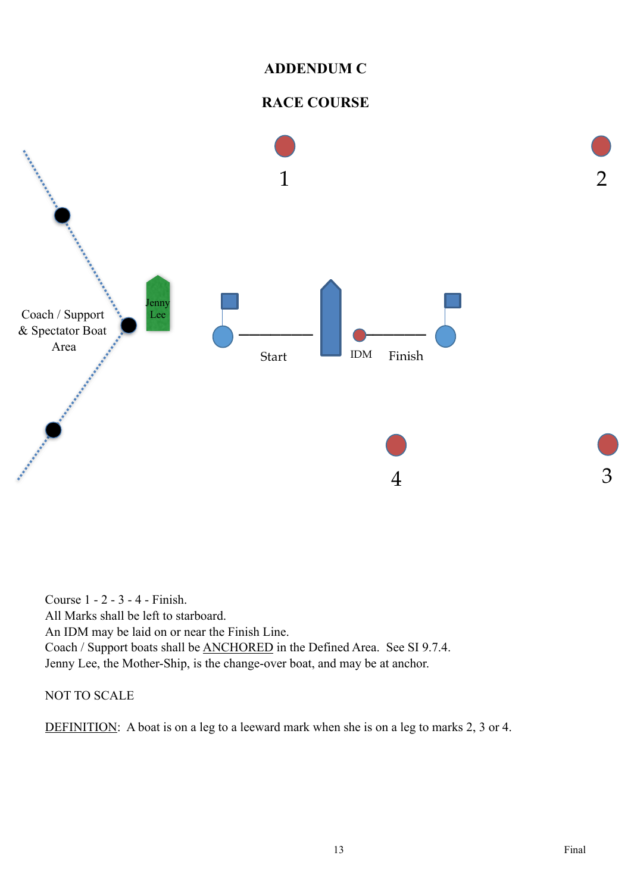## **ADDENDUM C**

## **RACE COURSE**



Course 1 - 2 - 3 - 4 - Finish. All Marks shall be left to starboard. An IDM may be laid on or near the Finish Line. Coach / Support boats shall be ANCHORED in the Defined Area. See SI 9.7.4. Jenny Lee, the Mother-Ship, is the change-over boat, and may be at anchor.

#### NOT TO SCALE

DEFINITION: A boat is on a leg to a leeward mark when she is on a leg to marks 2, 3 or 4.

3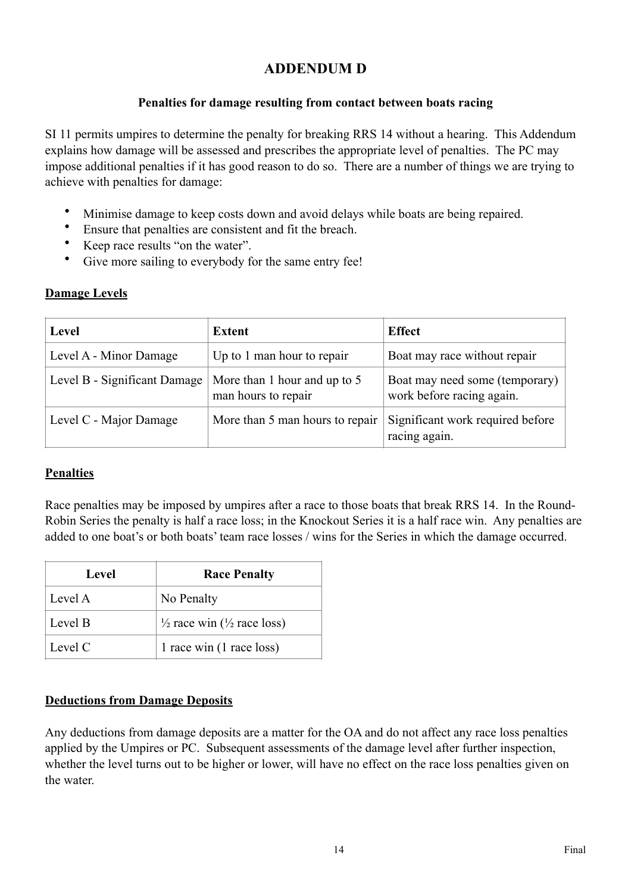## **ADDENDUM D**

## **Penalties for damage resulting from contact between boats racing**

SI 11 permits umpires to determine the penalty for breaking RRS 14 without a hearing. This Addendum explains how damage will be assessed and prescribes the appropriate level of penalties. The PC may impose additional penalties if it has good reason to do so. There are a number of things we are trying to achieve with penalties for damage:

- Minimise damage to keep costs down and avoid delays while boats are being repaired.
- Ensure that penalties are consistent and fit the breach.<br>•  $V_{\text{QCD}}$  read results "on the water"
- Keep race results "on the water".
- Give more sailing to everybody for the same entry fee!

## **Damage Levels**

| Level                        | <b>Extent</b>                                       | <b>Effect</b>                                               |
|------------------------------|-----------------------------------------------------|-------------------------------------------------------------|
| Level A - Minor Damage       | Up to 1 man hour to repair                          | Boat may race without repair                                |
| Level B - Significant Damage | More than 1 hour and up to 5<br>man hours to repair | Boat may need some (temporary)<br>work before racing again. |
| Level C - Major Damage       | More than 5 man hours to repair                     | Significant work required before<br>racing again.           |

## **Penalties**

Race penalties may be imposed by umpires after a race to those boats that break RRS 14. In the Round-Robin Series the penalty is half a race loss; in the Knockout Series it is a half race win. Any penalties are added to one boat's or both boats' team race losses / wins for the Series in which the damage occurred.

| Level   | <b>Race Penalty</b>                               |
|---------|---------------------------------------------------|
| Level A | No Penalty                                        |
| Level B | $\frac{1}{2}$ race win ( $\frac{1}{2}$ race loss) |
| Level C | 1 race win (1 race loss)                          |

## **Deductions from Damage Deposits**

Any deductions from damage deposits are a matter for the OA and do not affect any race loss penalties applied by the Umpires or PC. Subsequent assessments of the damage level after further inspection, whether the level turns out to be higher or lower, will have no effect on the race loss penalties given on the water.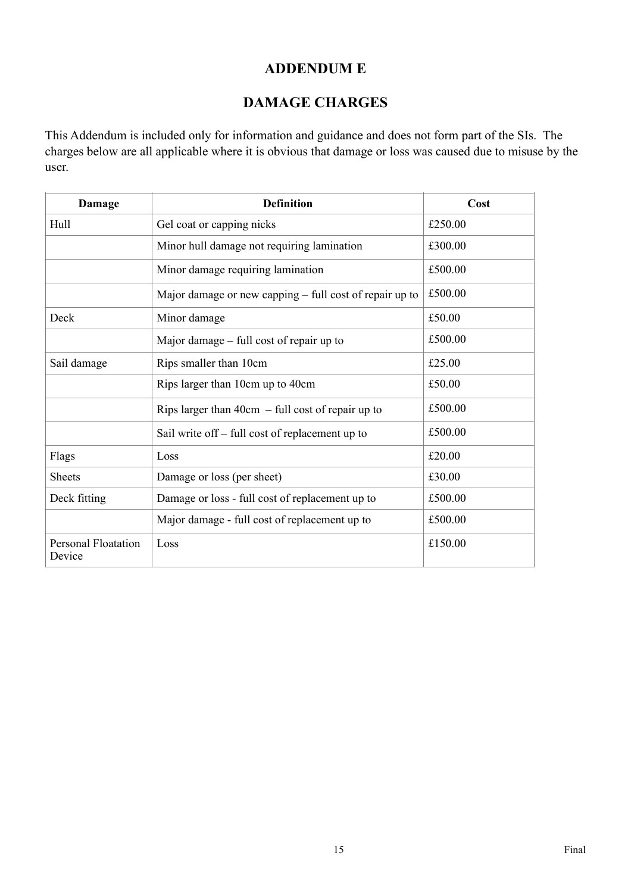## **ADDENDUM E**

## **DAMAGE CHARGES**

This Addendum is included only for information and guidance and does not form part of the SIs. The charges below are all applicable where it is obvious that damage or loss was caused due to misuse by the user.

| Damage                               | <b>Definition</b>                                       | Cost    |
|--------------------------------------|---------------------------------------------------------|---------|
| Hull                                 | Gel coat or capping nicks                               | £250.00 |
|                                      | Minor hull damage not requiring lamination              | £300.00 |
|                                      | Minor damage requiring lamination                       | £500.00 |
|                                      | Major damage or new capping – full cost of repair up to | £500.00 |
| Deck                                 | Minor damage                                            | £50.00  |
|                                      | Major damage $-$ full cost of repair up to              | £500.00 |
| Sail damage                          | Rips smaller than 10cm                                  | £25.00  |
|                                      | Rips larger than 10cm up to 40cm                        | £50.00  |
|                                      | Rips larger than $40cm - full cost of repair up to$     | £500.00 |
|                                      | Sail write off – full cost of replacement up to         | £500.00 |
| Flags                                | Loss                                                    | £20.00  |
| <b>Sheets</b>                        | Damage or loss (per sheet)                              | £30.00  |
| Deck fitting                         | Damage or loss - full cost of replacement up to         | £500.00 |
|                                      | Major damage - full cost of replacement up to           | £500.00 |
| <b>Personal Floatation</b><br>Device | Loss                                                    | £150.00 |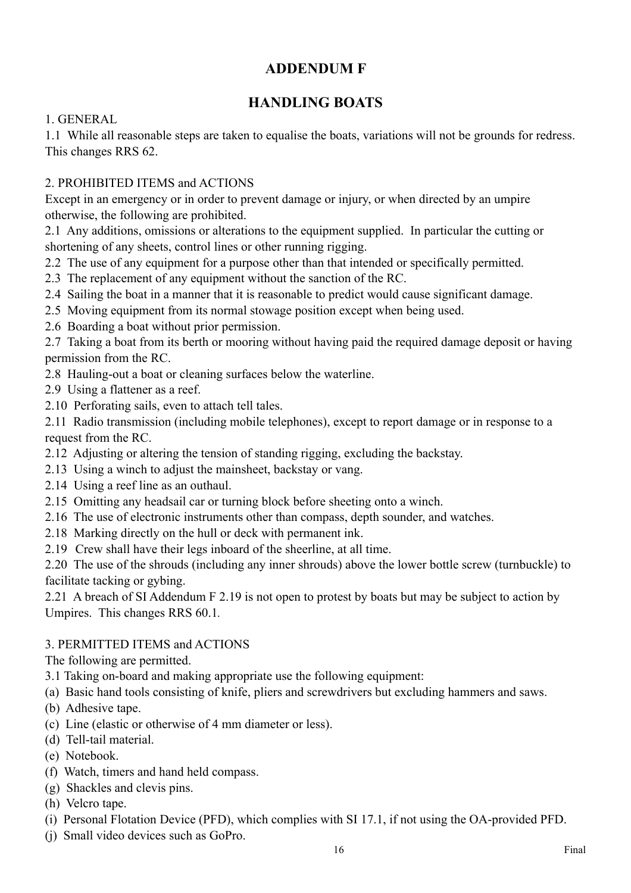## **ADDENDUM F**

## **HANDLING BOATS**

1. GENERAL

1.1 While all reasonable steps are taken to equalise the boats, variations will not be grounds for redress. This changes RRS 62.

## 2. PROHIBITED ITEMS and ACTIONS

Except in an emergency or in order to prevent damage or injury, or when directed by an umpire otherwise, the following are prohibited.

2.1 Any additions, omissions or alterations to the equipment supplied. In particular the cutting or shortening of any sheets, control lines or other running rigging.

- 2.2 The use of any equipment for a purpose other than that intended or specifically permitted.
- 2.3 The replacement of any equipment without the sanction of the RC.
- 2.4 Sailing the boat in a manner that it is reasonable to predict would cause significant damage.
- 2.5 Moving equipment from its normal stowage position except when being used.

2.6 Boarding a boat without prior permission.

2.7 Taking a boat from its berth or mooring without having paid the required damage deposit or having permission from the RC.

- 2.8 Hauling-out a boat or cleaning surfaces below the waterline.
- 2.9 Using a flattener as a reef.
- 2.10 Perforating sails, even to attach tell tales.

2.11 Radio transmission (including mobile telephones), except to report damage or in response to a request from the RC.

- 2.12 Adjusting or altering the tension of standing rigging, excluding the backstay.
- 2.13 Using a winch to adjust the mainsheet, backstay or vang.
- 2.14 Using a reef line as an outhaul.
- 2.15 Omitting any headsail car or turning block before sheeting onto a winch.
- 2.16 The use of electronic instruments other than compass, depth sounder, and watches.
- 2.18 Marking directly on the hull or deck with permanent ink.
- 2.19 Crew shall have their legs inboard of the sheerline, at all time.

2.20 The use of the shrouds (including any inner shrouds) above the lower bottle screw (turnbuckle) to facilitate tacking or gybing.

2.21 A breach of SI Addendum F 2.19 is not open to protest by boats but may be subject to action by Umpires. This changes RRS 60.1*.* 

## 3. PERMITTED ITEMS and ACTIONS

The following are permitted.

- 3.1 Taking on-board and making appropriate use the following equipment:
- (a) Basic hand tools consisting of knife, pliers and screwdrivers but excluding hammers and saws.
- (b) Adhesive tape.
- (c) Line (elastic or otherwise of 4 mm diameter or less).
- (d) Tell-tail material.
- (e) Notebook.
- (f) Watch, timers and hand held compass.
- (g) Shackles and clevis pins.
- (h) Velcro tape.
- (i) Personal Flotation Device (PFD), which complies with SI 17.1, if not using the OA-provided PFD.
- (j) Small video devices such as GoPro.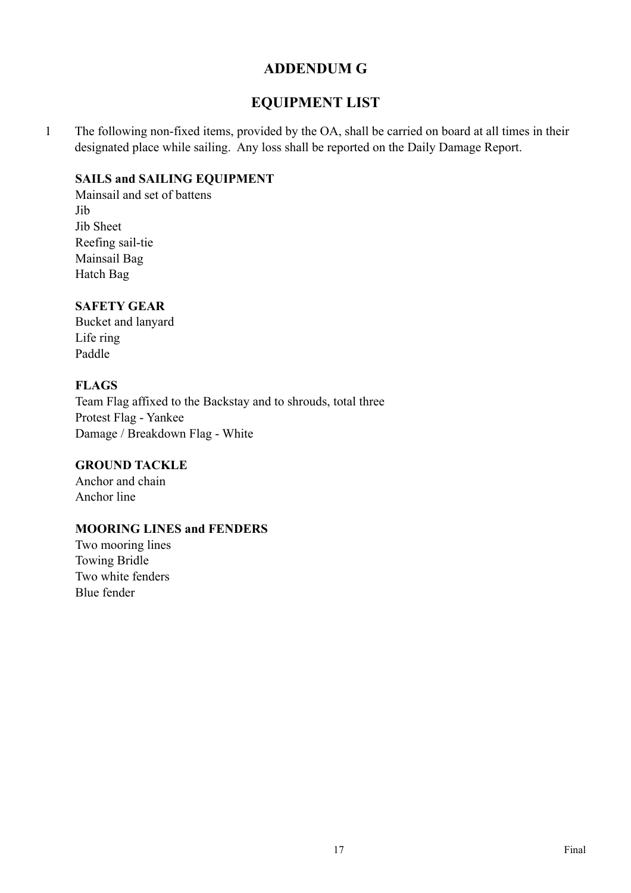## **ADDENDUM G**

## **EQUIPMENT LIST**

1 The following non-fixed items, provided by the OA, shall be carried on board at all times in their designated place while sailing. Any loss shall be reported on the Daily Damage Report.

#### **SAILS and SAILING EQUIPMENT**

Mainsail and set of battens Jib Jib Sheet Reefing sail-tie Mainsail Bag Hatch Bag

### **SAFETY GEAR**

Bucket and lanyard Life ring Paddle

### **FLAGS**

Team Flag affixed to the Backstay and to shrouds, total three Protest Flag - Yankee Damage / Breakdown Flag - White

#### **GROUND TACKLE**

Anchor and chain Anchor line

#### **MOORING LINES and FENDERS**

Two mooring lines Towing Bridle Two white fenders Blue fender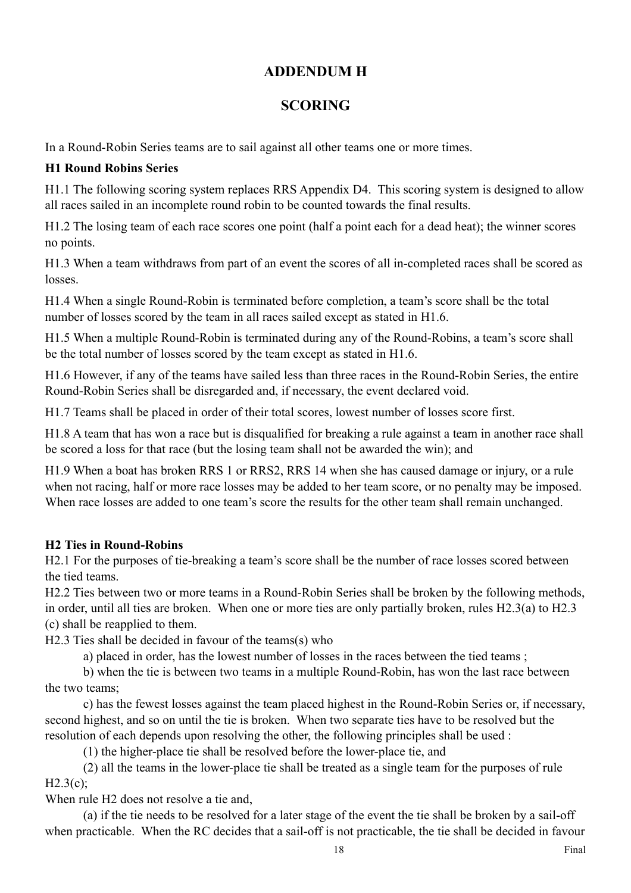## **ADDENDUM H**

## **SCORING**

In a Round-Robin Series teams are to sail against all other teams one or more times.

## **H1 Round Robins Series**

H1.1 The following scoring system replaces RRS Appendix D4. This scoring system is designed to allow all races sailed in an incomplete round robin to be counted towards the final results.

H1.2 The losing team of each race scores one point (half a point each for a dead heat); the winner scores no points.

H1.3 When a team withdraws from part of an event the scores of all in-completed races shall be scored as losses.

H1.4 When a single Round-Robin is terminated before completion, a team's score shall be the total number of losses scored by the team in all races sailed except as stated in H1.6.

H1.5 When a multiple Round-Robin is terminated during any of the Round-Robins, a team's score shall be the total number of losses scored by the team except as stated in H1.6.

H1.6 However, if any of the teams have sailed less than three races in the Round-Robin Series, the entire Round-Robin Series shall be disregarded and, if necessary, the event declared void.

H1.7 Teams shall be placed in order of their total scores, lowest number of losses score first.

H1.8 A team that has won a race but is disqualified for breaking a rule against a team in another race shall be scored a loss for that race (but the losing team shall not be awarded the win); and

H1.9 When a boat has broken RRS 1 or RRS2, RRS 14 when she has caused damage or injury, or a rule when not racing, half or more race losses may be added to her team score, or no penalty may be imposed. When race losses are added to one team's score the results for the other team shall remain unchanged.

## **H2 Ties in Round-Robins**

H2.1 For the purposes of tie-breaking a team's score shall be the number of race losses scored between the tied teams.

H2.2 Ties between two or more teams in a Round-Robin Series shall be broken by the following methods, in order, until all ties are broken. When one or more ties are only partially broken, rules H2.3(a) to H2.3 (c) shall be reapplied to them.

H2.3 Ties shall be decided in favour of the teams(s) who

a) placed in order, has the lowest number of losses in the races between the tied teams ;

 b) when the tie is between two teams in a multiple Round-Robin, has won the last race between the two teams;

 c) has the fewest losses against the team placed highest in the Round-Robin Series or, if necessary, second highest, and so on until the tie is broken. When two separate ties have to be resolved but the resolution of each depends upon resolving the other, the following principles shall be used :

(1) the higher-place tie shall be resolved before the lower-place tie, and

(2) all the teams in the lower-place tie shall be treated as a single team for the purposes of rule H2.3(c);

When rule H<sub>2</sub> does not resolve a tie and,

 (a) if the tie needs to be resolved for a later stage of the event the tie shall be broken by a sail-off when practicable. When the RC decides that a sail-off is not practicable, the tie shall be decided in favour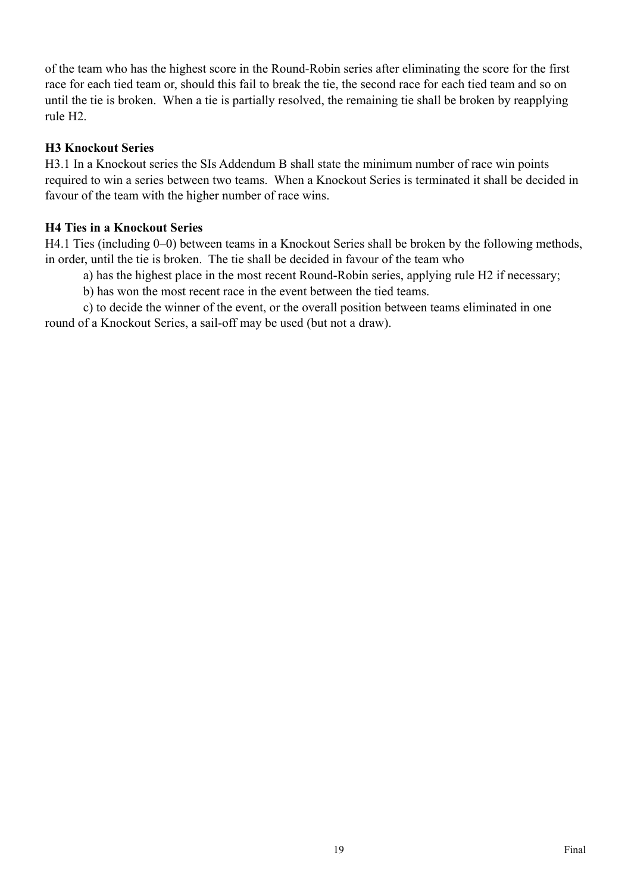of the team who has the highest score in the Round-Robin series after eliminating the score for the first race for each tied team or, should this fail to break the tie, the second race for each tied team and so on until the tie is broken. When a tie is partially resolved, the remaining tie shall be broken by reapplying rule H2.

#### **H3 Knockout Series**

H3.1 In a Knockout series the SIs Addendum B shall state the minimum number of race win points required to win a series between two teams. When a Knockout Series is terminated it shall be decided in favour of the team with the higher number of race wins.

#### **H4 Ties in a Knockout Series**

H4.1 Ties (including 0–0) between teams in a Knockout Series shall be broken by the following methods, in order, until the tie is broken. The tie shall be decided in favour of the team who

a) has the highest place in the most recent Round-Robin series, applying rule H2 if necessary;

b) has won the most recent race in the event between the tied teams.

 c) to decide the winner of the event, or the overall position between teams eliminated in one round of a Knockout Series, a sail-off may be used (but not a draw).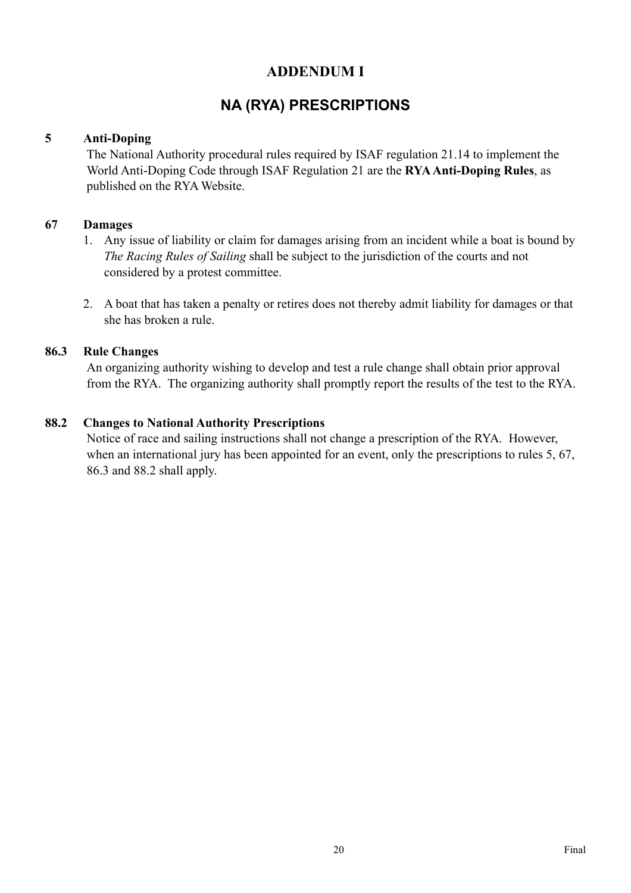## **ADDENDUM I**

## **NA (RYA) PRESCRIPTIONS**

### **5 Anti-Doping**

The National Authority procedural rules required by ISAF regulation 21.14 to implement the World Anti-Doping Code through ISAF Regulation 21 are the **RYA Anti-Doping Rules**, as published on the RYA Website.

### **67 Damages**

- 1. Any issue of liability or claim for damages arising from an incident while a boat is bound by *The Racing Rules of Sailing* shall be subject to the jurisdiction of the courts and not considered by a protest committee.
- 2. A boat that has taken a penalty or retires does not thereby admit liability for damages or that she has broken a rule.

### **86.3 Rule Changes**

An organizing authority wishing to develop and test a rule change shall obtain prior approval from the RYA. The organizing authority shall promptly report the results of the test to the RYA.

### **88.2 Changes to National Authority Prescriptions**

Notice of race and sailing instructions shall not change a prescription of the RYA. However, when an international jury has been appointed for an event, only the prescriptions to rules 5, 67, 86.3 and 88.2 shall apply.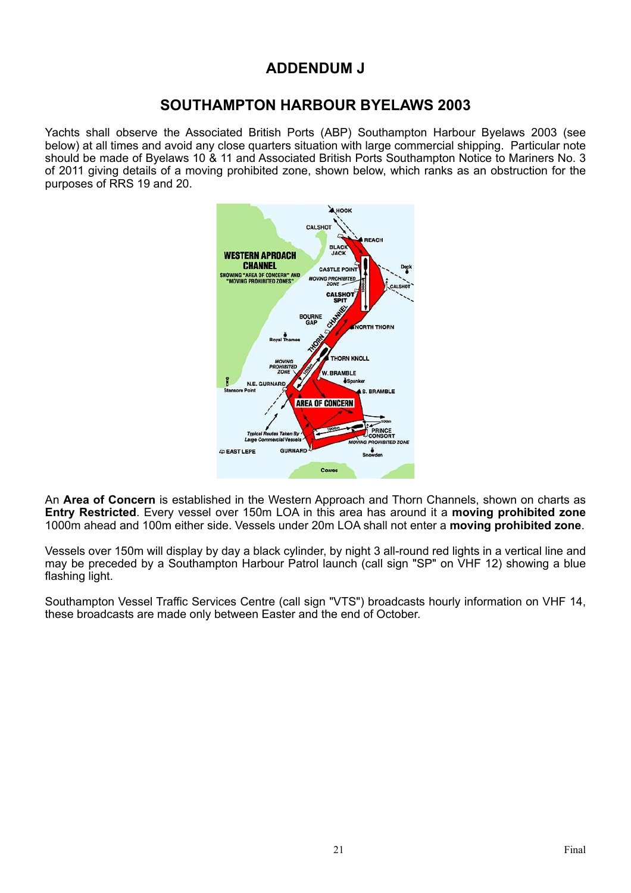## **ADDENDUM J**

## **SOUTHAMPTON HARBOUR BYELAWS 2003**

Yachts shall observe the Associated British Ports (ABP) Southampton Harbour Byelaws 2003 (see below) at all times and avoid any close quarters situation with large commercial shipping. Particular note should be made of Byelaws 10 & 11 and Associated British Ports Southampton Notice to Mariners No. 3 of 2011 giving details of a moving prohibited zone, shown below, which ranks as an obstruction for the purposes of RRS 19 and 20.



An **Area of Concern** is established in the Western Approach and Thorn Channels, shown on charts as **Entry Restricted**. Every vessel over 150m LOA in this area has around it a **moving prohibited zone** 1000m ahead and 100m either side. Vessels under 20m LOA shall not enter a **moving prohibited zone**.

Vessels over 150m will display by day a black cylinder, by night 3 all-round red lights in a vertical line and may be preceded by a Southampton Harbour Patrol launch (call sign "SP" on VHF 12) showing a blue flashing light.

Southampton Vessel Traffic Services Centre (call sign "VTS") broadcasts hourly information on VHF 14, these broadcasts are made only between Easter and the end of October.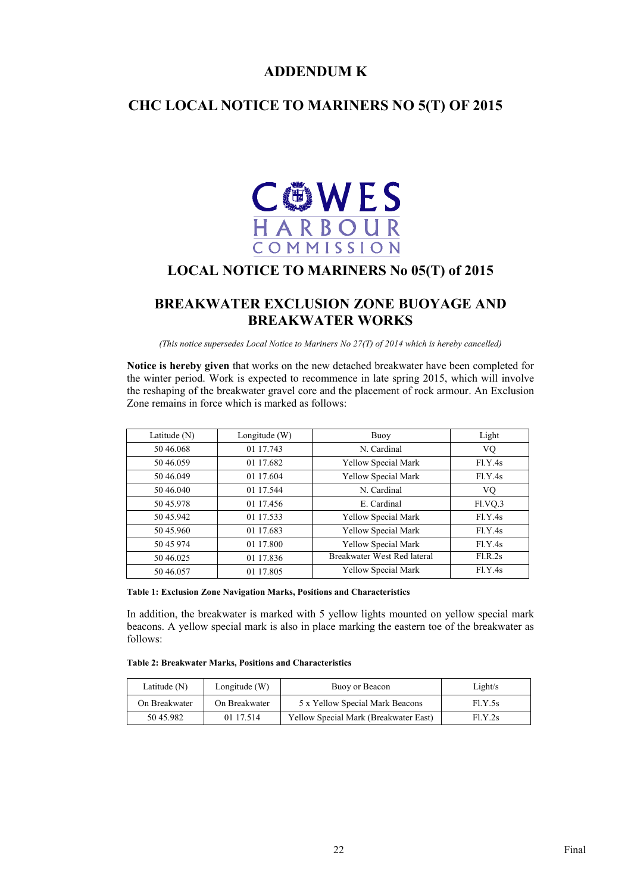## **ADDENDUM K**

## **CHC LOCAL NOTICE TO MARINERS NO 5(T) OF 2015**



## **LOCAL NOTICE TO MARINERS No 05(T) of 2015**

## **BREAKWATER EXCLUSION ZONE BUOYAGE AND BREAKWATER WORKS**

*(This notice supersedes Local Notice to Mariners No 27(T) of 2014 which is hereby cancelled)*

**Notice is hereby given** that works on the new detached breakwater have been completed for the winter period. Work is expected to recommence in late spring 2015, which will involve the reshaping of the breakwater gravel core and the placement of rock armour. An Exclusion Zone remains in force which is marked as follows:

| Latitude (N) | Longitude (W) | Buoy                        | Light   |
|--------------|---------------|-----------------------------|---------|
| 50 46,068    | 01 17.743     | N. Cardinal                 | VQ      |
| 50 46.059    | 01 17.682     | Yellow Special Mark         | F1.Y.4s |
| 50 46,049    | 01 17.604     | Yellow Special Mark         | F1.Y.4s |
| 50 46 040    | 01 17 544     | N. Cardinal                 | VQ      |
| 50 45.978    | 01 17.456     | E. Cardinal                 | Fl.VQ.3 |
| 50 45.942    | 01 17.533     | Yellow Special Mark         | F1.Y.4s |
| 50 45.960    | 01 17.683     | Yellow Special Mark         | F1.Y.4s |
| 50 45 974    | 01 17.800     | Yellow Special Mark         | F1.Y.4s |
| 50 46.025    | 01 17.836     | Breakwater West Red lateral | F1.R.2s |
| 50 46.057    | 01 17.805     | Yellow Special Mark         | F1.Y.4s |

#### **Table 1: Exclusion Zone Navigation Marks, Positions and Characteristics**

In addition, the breakwater is marked with 5 yellow lights mounted on yellow special mark beacons. A yellow special mark is also in place marking the eastern toe of the breakwater as follows:

#### **Table 2: Breakwater Marks, Positions and Characteristics**

| Latitude $(N)$ | Longitude $(W)$ | Buoy or Beacon                        | Light/s |
|----------------|-----------------|---------------------------------------|---------|
| On Breakwater  | On Breakwater   | 5 x Yellow Special Mark Beacons       | F1.Y.5s |
| 50 45.982      | 01 17 514       | Yellow Special Mark (Breakwater East) | F1.Y.2s |